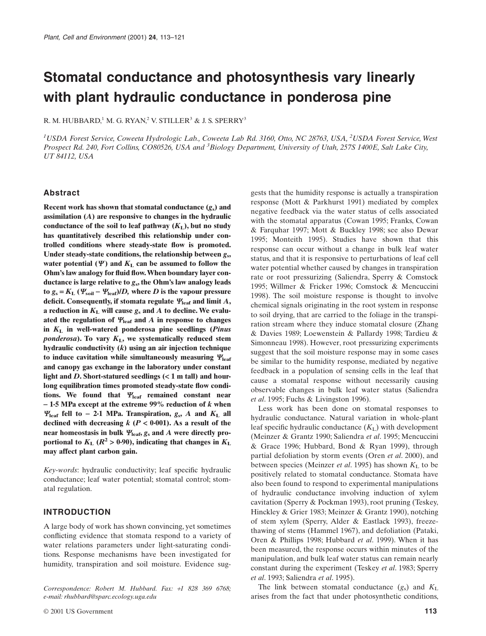# **Stomatal conductance and photosynthesis vary linearly with plant hydraulic conductance in ponderosa pine**

R. M. HUBBARD,<sup>1</sup> M. G. RYAN,<sup>2</sup> V. STILLER<sup>3</sup> & J. S. SPERRY<sup>3</sup>

*1 USDA Forest Service, Coweeta Hydrologic Lab., Coweeta Lab Rd. 3160, Otto, NC 28763, USA, <sup>2</sup> USDA Forest Service, West Prospect Rd. 240, Fort Collins, CO80526, USA and <sup>3</sup> Biology Department, University of Utah, 257S 1400E, Salt Lake City, UT 84112, USA*

# **Abstract**

**Recent work has shown that stomatal conductance**  $(g_s)$  **and assimilation (***A***) are responsive to changes in the hydraulic** conductance of the soil to leaf pathway  $(K_L)$ , but no study **has quantitatively described this relationship under controlled conditions where steady-state flow is promoted. Under steady-state conditions, the relationship between** *g***s,** water potential  $(\Psi)$  and  $K<sub>L</sub>$  can be assumed to follow the **Ohm's law analogy for fluid flow. When boundary layer conductance is large relative to** *g***s, the Ohm's law analogy leads**  $\tan z_0 = K_L$  ( $\Psi_{\text{soil}} - \Psi_{\text{leaf}}$ )/*D*, where *D* is the vapour pressure **deficit.** Consequently, if stomata regulate  $\Psi_{\text{leaf}}$  and limit  $A$ , **a reduction in**  $K<sub>L</sub>$  **will cause**  $g<sub>s</sub>$  **and**  $A$  **to decline. We evalu**ated the regulation of  $Y_{\text{leaf}}$  and A in response to changes **in** *K***<sup>L</sup> in well-watered ponderosa pine seedlings (***Pinus ponderosa***). To vary** *K***L, we systematically reduced stem hydraulic conductivity (***k***) using an air injection technique** to induce cavitation while simultaneously measuring  $Y_{\text{leaf}}$ **and canopy gas exchange in the laboratory under constant light and** *D***. Short-statured seedlings (**< **1 m tall) and hourlong equilibration times promoted steady-state flow conditions. We found that** Y**leaf remained constant near**  - **1·5 MPa except at the extreme 99% reduction of** *k* **when**  $Y_{\text{leaf}}$  fell to - 2·1 MPa. Transpiration,  $g_s$ , A and  $K_L$  all **declined with decreasing** *k* **(***P* < **0·001). As a result of the** near homeostasis in bulk  $\Psi_{\text{leaf}}$ ,  $g_s$  and  $A$  were directly pro**portional to**  $K_L$  **(** $R^2 > 0.90$ **), indicating that changes in**  $K_L$ **may affect plant carbon gain.**

*Key-words*: hydraulic conductivity; leaf specific hydraulic conductance; leaf water potential; stomatal control; stomatal regulation.

## **INTRODUCTION**

A large body of work has shown convincing, yet sometimes conflicting evidence that stomata respond to a variety of water relations parameters under light-saturating conditions. Response mechanisms have been investigated for humidity, transpiration and soil moisture. Evidence sug-

*Correspondence: Robert M. Hubbard. Fax:* +*1 828 369 6768; e-mail: rhubbard@sparc.ecology.uga.edu*

© 2001 US Government **113**

gests that the humidity response is actually a transpiration response (Mott & Parkhurst 1991) mediated by complex negative feedback via the water status of cells associated with the stomatal apparatus (Cowan 1995; Franks, Cowan & Farquhar 1997; Mott & Buckley 1998; see also Dewar 1995; Monteith 1995). Studies have shown that this response can occur without a change in bulk leaf water status, and that it is responsive to perturbations of leaf cell water potential whether caused by changes in transpiration rate or root pressurizing (Saliendra, Sperry & Comstock 1995; Willmer & Fricker 1996; Comstock & Mencuccini 1998). The soil moisture response is thought to involve chemical signals originating in the root system in response to soil drying, that are carried to the foliage in the transpiration stream where they induce stomatal closure (Zhang & Davies 1989; Loewenstein & Pallardy 1998; Tardieu & Simonneau 1998). However, root pressurizing experiments suggest that the soil moisture response may in some cases be similar to the humidity response, mediated by negative feedback in a population of sensing cells in the leaf that cause a stomatal response without necessarily causing observable changes in bulk leaf water status (Saliendra *et al*. 1995; Fuchs & Livingston 1996).

Less work has been done on stomatal responses to hydraulic conductance. Natural variation in whole-plant leaf specific hydraulic conductance  $(K_L)$  with development (Meinzer & Grantz 1990; Saliendra *et al*. 1995; Mencuccini & Grace 1996; Hubbard, Bond & Ryan 1999), through partial defoliation by storm events (Oren *et al*. 2000), and between species (Meinzer *et al.* 1995) has shown  $K<sub>L</sub>$  to be positively related to stomatal conductance. Stomata have also been found to respond to experimental manipulations of hydraulic conductance involving induction of xylem cavitation (Sperry & Pockman 1993), root pruning (Teskey, Hinckley & Grier 1983; Meinzer & Grantz 1990), notching of stem xylem (Sperry, Alder & Eastlack 1993), freezethawing of stems (Hammel 1967), and defoliation (Pataki, Oren & Phillips 1998; Hubbard *et al*. 1999). When it has been measured, the response occurs within minutes of the manipulation, and bulk leaf water status can remain nearly constant during the experiment (Teskey *et al*. 1983; Sperry *et al*. 1993; Saliendra *et al*. 1995).

The link between stomatal conductance  $(g_s)$  and  $K_L$ arises from the fact that under photosynthetic conditions,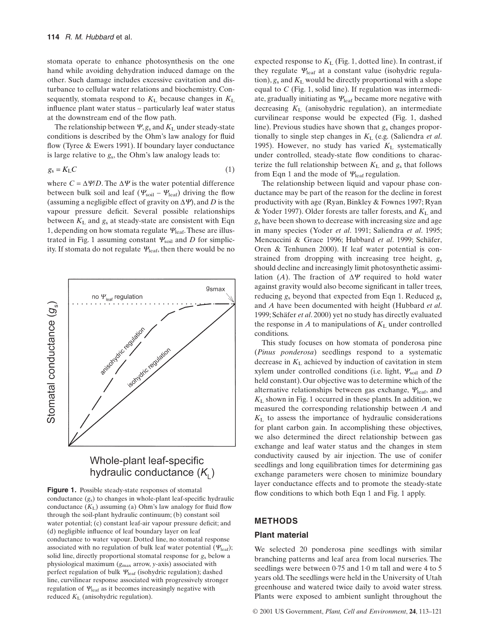stomata operate to enhance photosynthesis on the one hand while avoiding dehydration induced damage on the other. Such damage includes excessive cavitation and disturbance to cellular water relations and biochemistry. Consequently, stomata respond to  $K<sub>L</sub>$  because changes in  $K<sub>L</sub>$ influence plant water status – particularly leaf water status at the downstream end of the flow path.

The relationship between  $\Psi$ ,  $g_s$  and  $K_L$  under steady-state conditions is described by the Ohm's law analogy for fluid flow (Tyree & Ewers 1991). If boundary layer conductance is large relative to *g*s, the Ohm's law analogy leads to:

$$
g_s = K_L C \tag{1}
$$

where  $C = \Delta \Psi/D$ . The  $\Delta \Psi$  is the water potential difference between bulk soil and leaf ( $\Psi_{\text{soil}} - \Psi_{\text{leaf}}$ ) driving the flow (assuming a negligible effect of gravity on  $\Delta \Psi$ ), and *D* is the vapour pressure deficit. Several possible relationships between  $K<sub>L</sub>$  and  $g<sub>s</sub>$  at steady-state are consistent with Eqn 1, depending on how stomata regulate  $Y_{\text{leaf}}$ . These are illustrated in Fig. 1 assuming constant  $\Psi_{\text{soil}}$  and *D* for simplicity. If stomata do not regulate  $\Psi_{\text{leaf}}$ , then there would be no



# Whole-plant leaf-specific hydraulic conductance  $(K<sub>1</sub>)$

**Figure 1.** Possible steady-state responses of stomatal conductance  $(g_s)$  to changes in whole-plant leaf-specific hydraulic conductance  $(K_L)$  assuming (a) Ohm's law analogy for fluid flow through the soil-plant hydraulic continuum; (b) constant soil water potential; (c) constant leaf-air vapour pressure deficit; and (d) negligible influence of leaf boundary layer on leaf conductance to water vapour. Dotted line, no stomatal response associated with no regulation of bulk leaf water potential ( $\Psi_{\rm leaf}$ ); solid line, directly proportional stomatal response for *g*<sup>s</sup> below a physiological maximum (*g*max arrow, *y*-axis) associated with perfect regulation of bulk  $\Psi_{\text{leaf}}$  (isohydric regulation); dashed line, curvilinear response associated with progressively stronger regulation of  $\mathcal{Y}_{\text{leaf}}$  as it becomes increasingly negative with reduced *K*<sup>L</sup> (anisohydric regulation).

expected response to  $K_L$  (Fig. 1, dotted line). In contrast, if they regulate  $\Psi_{\text{leaf}}$  at a constant value (isohydric regulation),  $g_s$  and  $K_L$  would be directly proportional with a slope equal to *C* (Fig. 1, solid line). If regulation was intermediate, gradually initiating as  $Y_{\text{leaf}}$  became more negative with decreasing *K*<sup>L</sup> (anisohydric regulation), an intermediate curvilinear response would be expected (Fig. 1, dashed line). Previous studies have shown that *g*<sup>s</sup> changes proportionally to single step changes in *K*L (e.g. (Saliendra *et al*. 1995). However, no study has varied  $K_L$  systematically under controlled, steady-state flow conditions to characterize the full relationship between  $K<sub>L</sub>$  and  $g<sub>s</sub>$  that follows from Eqn 1 and the mode of  $\Psi_{\text{leaf}}$  regulation.

The relationship between liquid and vapour phase conductance may be part of the reason for the decline in forest productivity with age (Ryan, Binkley & Fownes 1997; Ryan & Yoder 1997). Older forests are taller forests, and  $K_L$  and *g*<sup>s</sup> have been shown to decrease with increasing size and age in many species (Yoder *et al*. 1991; Saliendra *et al*. 1995; Mencuccini & Grace 1996; Hubbard *et al*. 1999; Schäfer, Oren & Tenhunen 2000). If leaf water potential is constrained from dropping with increasing tree height, *g*<sup>s</sup> should decline and increasingly limit photosynthetic assimilation (*A*). The fraction of  $\Delta \Psi$  required to hold water against gravity would also become significant in taller trees, reducing *g*<sup>s</sup> beyond that expected from Eqn 1. Reduced *g*<sup>s</sup> and *A* have been documented with height (Hubbard *et al*. 1999; Schäfer *et al*. 2000) yet no study has directly evaluated the response in *A* to manipulations of  $K<sub>L</sub>$  under controlled conditions.

This study focuses on how stomata of ponderosa pine (*Pinus ponderosa*) seedlings respond to a systematic decrease in  $K<sub>L</sub>$  achieved by induction of cavitation in stem xylem under controlled conditions (i.e. light, Ysoil and *D* held constant). Our objective was to determine which of the alternative relationships between gas exchange,  $\Psi_{\rm leaf}$ , and *K*<sup>L</sup> shown in Fig. 1 occurred in these plants. In addition, we measured the corresponding relationship between *A* and *K*<sup>L</sup> to assess the importance of hydraulic considerations for plant carbon gain. In accomplishing these objectives, we also determined the direct relationship between gas exchange and leaf water status and the changes in stem conductivity caused by air injection. The use of conifer seedlings and long equilibration times for determining gas exchange parameters were chosen to minimize boundary layer conductance effects and to promote the steady-state flow conditions to which both Eqn 1 and Fig. 1 apply.

# **METHODS**

## **Plant material**

We selected 20 ponderosa pine seedlings with similar branching patterns and leaf area from local nurseries. The seedlings were between 0·75 and 1·0 m tall and were 4 to 5 years old.The seedlings were held in the University of Utah greenhouse and watered twice daily to avoid water stress. Plants were exposed to ambient sunlight throughout the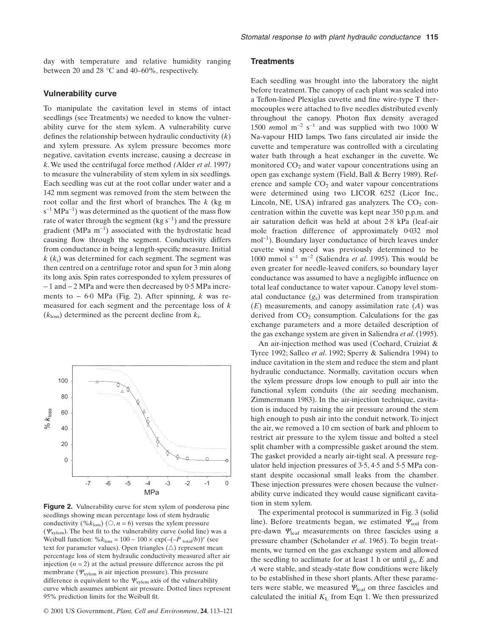day with temperature and relative humidity ranging between 20 and 28 °C and 40–60%, respectively.

#### **Vulnerability curve**

To manipulate the cavitation level in stems of intact seedlings (see Treatments) we needed to know the vulnerability curve for the stem xylem. A vulnerability curve defines the relationship between hydraulic conductivity (*k*) and xylem pressure. As xylem pressure becomes more negative, cavitation events increase, causing a decrease in *k*. We used the centrifugal force method *(*Alder *et al*. 1997*)* to measure the vulnerability of stem xylem in six seedlings. Each seedling was cut at the root collar under water and a 142 mm segment was removed from the stem between the root collar and the first whorl of branches. The *k* (kg m  $s^{-1}$  MPa<sup>-1</sup>) was determined as the quotient of the mass flow rate of water through the segment (kg  $s^{-1}$ ) and the pressure gradient (MPa  $m^{-1}$ ) associated with the hydrostatic head causing flow through the segment. Conductivity differs from conductance in being a length-specific measure. Initial *k* (*k*i) was determined for each segment. The segment was then centred on a centrifuge rotor and spun for 3 min along its long axis. Spin rates corresponded to xylem pressures of - 1 and - 2 MPa and were then decreased by 0·5 MPa increments to - 6·0 MPa (Fig. 2). After spinning, *k* was remeasured for each segment and the percentage loss of *k* (*k*loss) determined as the percent decline from *k*i.



**Figure 2.** Vulnerability curve for stem xylem of ponderosa pine seedlings showing mean percentage loss of stem hydraulic conductivity (% $k_{\text{loss}}$ ) ( $\circ$ ,  $n = 6$ ) versus the xylem pressure  $(\Psi_{\text{xylem}})$ . The best fit to the vulnerability curve (solid line) was a Weibull function:  $\% k_{\text{loss}} = 100 - 100 \times \exp(-(P_{\text{total}}/b))^c$  (see text for parameter values). Open triangles  $(\triangle)$  represent mean percentage loss of stem hydraulic conductivity measured after air injection  $(n = 2)$  at the actual pressure difference across the pit membrane ( $\Psi_{\text{xylem}}$  is air injection pressure). This pressure difference is equivalent to the  $\Psi_{\text{xylem}}$  axis of the vulnerability curve which assumes ambient air pressure. Dotted lines represent 95% prediction limits for the Weibull fit.

#### **Treatments**

Each seedling was brought into the laboratory the night before treatment. The canopy of each plant was sealed into a Teflon-lined Plexiglas cuvette and fine wire-type T thermocouples were attached to five needles distributed evenly throughout the canopy. Photon flux density averaged 1500  $mmol$  m<sup>-2</sup> s<sup>-1</sup> and was supplied with two 1000 W Na-vapour HID lamps. Two fans circulated air inside the cuvette and temperature was controlled with a circulating water bath through a heat exchanger in the cuvette. We monitored  $CO<sub>2</sub>$  and water vapour concentrations using an open gas exchange system (Field, Ball & Berry 1989). Reference and sample  $CO<sub>2</sub>$  and water vapour concentrations were determined using two LICOR 6252 (Licor Inc., Lincoln, NE, USA) infrared gas analyzers. The  $CO<sub>2</sub>$  concentration within the cuvette was kept near 350 p.p.m. and air saturation deficit was held at about 2·8 kPa (leaf-air mole fraction difference of approximately 0·032 mol mol<sup>-1</sup>). Boundary layer conductance of birch leaves under cuvette wind speed was previously determined to be 1000 mmol  $s^{-1}$  m<sup>-2</sup> (Saliendra *et al.* 1995). This would be even greater for needle-leaved conifers, so boundary layer conductance was assumed to have a negligible influence on total leaf conductance to water vapour. Canopy level stomatal conductance (*g*s) was determined from transpiration (*E*) measurements, and canopy assimilation rate (*A*) was derived from  $CO<sub>2</sub>$  consumption. Calculations for the gas exchange parameters and a more detailed description of the gas exchange system are given in Saliendra *et al*. (1995).

An air-injection method was used (Cochard, Cruiziat & Tyree 1992; Salleo *et al*. 1992; Sperry & Saliendra 1994) to induce cavitation in the stem and reduce the stem and plant hydraulic conductance. Normally, cavitation occurs when the xylem pressure drops low enough to pull air into the functional xylem conduits (the air seeding mechanism, Zimmermann 1983). In the air-injection technique, cavitation is induced by raising the air pressure around the stem high enough to push air into the conduit network. To inject the air, we removed a 10 cm section of bark and phloem to restrict air pressure to the xylem tissue and bolted a steel split chamber with a compressible gasket around the stem. The gasket provided a nearly air-tight seal. A pressure regulator held injection pressures of 3·5, 4·5 and 5·5 MPa constant despite occasional small leaks from the chamber. These injection pressures were chosen because the vulnerability curve indicated they would cause significant cavitation in stem xylem.

The experimental protocol is summarized in Fig. 3 (solid line). Before treatments began, we estimated  $\Psi_{\text{soil}}$  from pre-dawn  $\Psi_{\text{leaf}}$  measurements on three fascicles using a pressure chamber (Scholander *et al*. 1965). To begin treatments, we turned on the gas exchange system and allowed the seedling to acclimate for at least 1 h or until *g*s, *E* and *A* were stable, and steady-state flow conditions were likely to be established in these short plants. After these parameters were stable, we measured  $\Psi_{\text{leaf}}$  on three fascicles and calculated the initial  $K<sub>L</sub>$  from Eqn 1. We then pressurized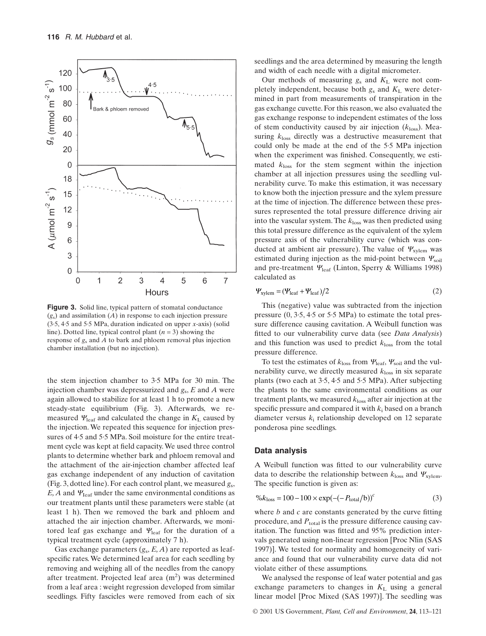

**Figure 3.** Solid line, typical pattern of stomatal conductance (*g*s) and assimilation (*A*) in response to each injection pressure (3·5, 4·5 and 5·5 MPa, duration indicated on upper *x*-axis) (solid line). Dotted line, typical control plant (*n* = 3) showing the response of *g*<sup>s</sup> and *A* to bark and phloem removal plus injection chamber installation (but no injection).

the stem injection chamber to 3·5 MPa for 30 min. The injection chamber was depressurized and *g*s, *E* and *A* were again allowed to stabilize for at least 1 h to promote a new steady-state equilibrium (Fig. 3). Afterwards, we remeasured  $\Psi_{\text{leaf}}$  and calculated the change in  $K_L$  caused by the injection. We repeated this sequence for injection pressures of 4.5 and 5.5 MPa. Soil moisture for the entire treatment cycle was kept at field capacity. We used three control plants to determine whether bark and phloem removal and the attachment of the air-injection chamber affected leaf gas exchange independent of any induction of cavitation (Fig. 3, dotted line). For each control plant, we measured *g*s,  $E, A$  and  $\Psi_{\text{leaf}}$  under the same environmental conditions as our treatment plants until these parameters were stable (at least 1 h). Then we removed the bark and phloem and attached the air injection chamber. Afterwards, we monitored leaf gas exchange and  $\Psi_{\text{leaf}}$  for the duration of a typical treatment cycle (approximately 7 h).

Gas exchange parameters (*g*s, *E, A*) are reported as leafspecific rates. We determined leaf area for each seedling by removing and weighing all of the needles from the canopy after treatment. Projected leaf area (m<sup>2</sup>) was determined from a leaf area : weight regression developed from similar seedlings. Fifty fascicles were removed from each of six seedlings and the area determined by measuring the length and width of each needle with a digital micrometer.

Our methods of measuring  $g_s$  and  $K_L$  were not completely independent, because both *g*<sup>s</sup> and *K*<sup>L</sup> were determined in part from measurements of transpiration in the gas exchange cuvette. For this reason, we also evaluated the gas exchange response to independent estimates of the loss of stem conductivity caused by air injection  $(k_{loss})$ . Measuring *k*loss directly was a destructive measurement that could only be made at the end of the 5·5 MPa injection when the experiment was finished. Consequently, we estimated *k*loss for the stem segment within the injection chamber at all injection pressures using the seedling vulnerability curve. To make this estimation, it was necessary to know both the injection pressure and the xylem pressure at the time of injection. The difference between these pressures represented the total pressure difference driving air into the vascular system. The  $k_{\text{loss}}$  was then predicted using this total pressure difference as the equivalent of the xylem pressure axis of the vulnerability curve (which was conducted at ambient air pressure). The value of  $\Psi_{\text{xvlem}}$  was estimated during injection as the mid-point between  $\Psi_{\text{solid}}$ and pre-treatment  $\Psi_{\text{leaf}}$  (Linton, Sperry & Williams 1998) calculated as

$$
\Psi_{\text{xylem}} = (\Psi_{\text{leaf}} + \Psi_{\text{leaf}})/2 \tag{2}
$$

This (negative) value was subtracted from the injection pressure (0, 3·5, 4·5 or 5·5 MPa) to estimate the total pressure difference causing cavitation. A Weibull function was fitted to our vulnerability curve data (see *Data Analysis*) and this function was used to predict *k*loss from the total pressure difference.

To test the estimates of  $k_{\text{loss}}$  from  $\Psi_{\text{leaf}}$ ,  $\Psi_{\text{solid}}$  and the vulnerability curve, we directly measured  $k_{\text{loss}}$  in six separate plants (two each at 3·5, 4·5 and 5·5 MPa). After subjecting the plants to the same environmental conditions as our treatment plants, we measured *k*loss after air injection at the specific pressure and compared it with  $k_i$  based on a branch diameter versus *k*<sup>i</sup> relationship developed on 12 separate ponderosa pine seedlings.

#### **Data analysis**

A Weibull function was fitted to our vulnerability curve data to describe the relationship between  $k_{\text{loss}}$  and  $\Psi_{\text{xvlem}}$ . The specific function is given as:

$$
\%k_{\text{loss}} = 100 - 100 \times \exp(-(-P_{\text{total}}/b))^c
$$
 (3)

where *b* and *c* are constants generated by the curve fitting procedure, and  $P_{total}$  is the pressure difference causing cavitation. The function was fitted and 95% prediction intervals generated using non-linear regression [Proc Nlin (SAS 1997)]. We tested for normality and homogeneity of variance and found that our vulnerability curve data did not violate either of these assumptions.

We analysed the response of leaf water potential and gas exchange parameters to changes in  $K<sub>L</sub>$  using a general linear model [Proc Mixed (SAS 1997)]. The seedling was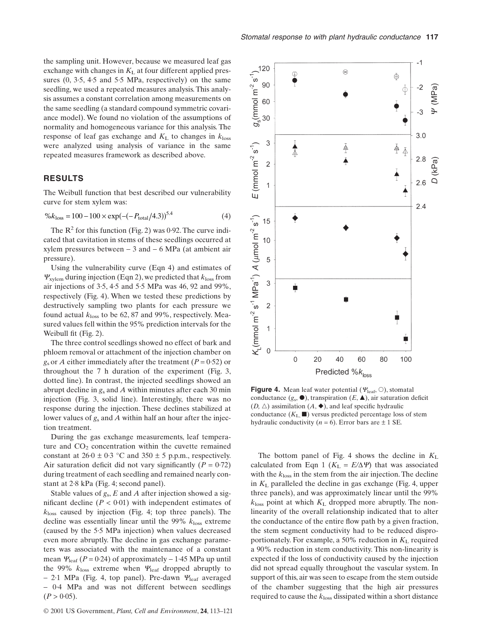the sampling unit. However, because we measured leaf gas exchange with changes in  $K<sub>L</sub>$  at four different applied pressures (0, 3·5, 4·5 and 5·5 MPa, respectively) on the same seedling, we used a repeated measures analysis. This analysis assumes a constant correlation among measurements on the same seedling (a standard compound symmetric covariance model). We found no violation of the assumptions of normality and homogeneous variance for this analysis. The response of leaf gas exchange and  $K<sub>L</sub>$  to changes in  $k<sub>loss</sub>$ were analyzed using analysis of variance in the same repeated measures framework as described above.

# **RESULTS**

The Weibull function that best described our vulnerability curve for stem xylem was:

$$
\%k_{\text{loss}} = 100 - 100 \times \exp(-(-P_{\text{total}}/4.3))^{5.4} \tag{4}
$$

The  $R^2$  for this function (Fig. 2) was 0.92. The curve indicated that cavitation in stems of these seedlings occurred at xylem pressures between  $-3$  and  $-6$  MPa (at ambient air pressure).

Using the vulnerability curve (Eqn 4) and estimates of  $\Psi_{\text{xvlem}}$  during injection (Eqn 2), we predicted that  $k_{\text{loss}}$  from air injections of 3·5, 4·5 and 5·5 MPa was 46, 92 and 99%, respectively (Fig. 4). When we tested these predictions by destructively sampling two plants for each pressure we found actual *k*loss to be 62, 87 and 99%, respectively. Measured values fell within the 95% prediction intervals for the Weibull fit (Fig. 2).

The three control seedlings showed no effect of bark and phloem removal or attachment of the injection chamber on  $g_s$  or *A* either immediately after the treatment ( $P = 0.52$ ) or throughout the 7 h duration of the experiment (Fig. 3, dotted line). In contrast, the injected seedlings showed an abrupt decline in *g*<sup>s</sup> and *A* within minutes after each 30 min injection (Fig. 3, solid line). Interestingly, there was no response during the injection. These declines stabilized at lower values of  $g_s$  and *A* within half an hour after the injection treatment.

During the gas exchange measurements, leaf temperature and  $CO<sub>2</sub>$  concentration within the cuvette remained constant at  $26.0 \pm 0.3$  °C and  $350 \pm 5$  p.p.m., respectively. Air saturation deficit did not vary significantly  $(P = 0.72)$ during treatment of each seedling and remained nearly constant at 2·8 kPa (Fig. 4; second panel).

Stable values of *g*s, *E* and *A* after injection showed a significant decline  $(P < 0.01)$  with independent estimates of *k*loss caused by injection (Fig. 4; top three panels). The decline was essentially linear until the 99%  $k_{\text{loss}}$  extreme (caused by the 5·5 MPa injection) when values decreased even more abruptly. The decline in gas exchange parameters was associated with the maintenance of a constant mean  $\Psi_{\text{leaf}}$  ( $P = 0.24$ ) of approximately  $-1.45$  MPa up until the 99%  $k_{loss}$  extreme when  $\Psi_{leaf}$  dropped abruptly to - 2.1 MPa (Fig. 4, top panel). Pre-dawn  $\Psi_{\text{leaf}}$  averaged - 0·4 MPa and was not different between seedlings  $(P > 0.05)$ .



**Figure 4.** Mean leaf water potential ( $\varphi_{\text{leaf}}, \odot$ ), stomatal conductance  $(g_s, \bullet)$ , transpiration  $(E, \blacktriangle)$ , air saturation deficit  $(D, \triangle)$  assimilation  $(A, \blacklozenge)$ , and leaf specific hydraulic conductance  $(K_L, \blacksquare)$  versus predicted percentage loss of stem hydraulic conductivity ( $n = 6$ ). Error bars are  $\pm 1$  SE.

The bottom panel of Fig. 4 shows the decline in  $K<sub>L</sub>$ calculated from Eqn 1 ( $K_L = E/\Delta \Psi$ ) that was associated with the *k*loss in the stem from the air injection. The decline in *K*<sup>L</sup> paralleled the decline in gas exchange (Fig. 4, upper three panels), and was approximately linear until the 99%  $k_{\text{loss}}$  point at which  $K_{\text{L}}$  dropped more abruptly. The nonlinearity of the overall relationship indicated that to alter the conductance of the entire flow path by a given fraction, the stem segment conductivity had to be reduced disproportionately. For example, a 50% reduction in  $K<sub>L</sub>$  required a 90% reduction in stem conductivity. This non-linearity is expected if the loss of conductivity caused by the injection did not spread equally throughout the vascular system. In support of this, air was seen to escape from the stem outside of the chamber suggesting that the high air pressures required to cause the  $k_{loss}$  dissipated within a short distance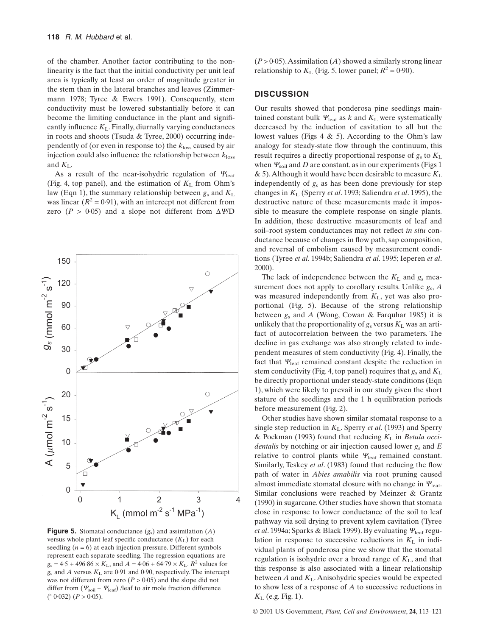of the chamber. Another factor contributing to the nonlinearity is the fact that the initial conductivity per unit leaf area is typically at least an order of magnitude greater in the stem than in the lateral branches and leaves (Zimmermann 1978; Tyree & Ewers 1991). Consequently, stem conductivity must be lowered substantially before it can become the limiting conductance in the plant and significantly influence  $K<sub>L</sub>$ . Finally, diurnally varying conductances in roots and shoots (Tsuda & Tyree, 2000) occurring independently of (or even in response to) the *k*loss caused by air injection could also influence the relationship between  $k_{loss}$ and *K*L.

As a result of the near-isohydric regulation of  $\Psi_{\rm leaf}$ (Fig. 4, top panel), and the estimation of  $K<sub>L</sub>$  from Ohm's law (Eqn 1), the summary relationship between *g*<sup>s</sup> and *K*<sup>L</sup> was linear  $(R^2 = 0.91)$ , with an intercept not different from zero ( $P > 0.05$ ) and a slope not different from  $\Delta \Psi/D$ 



**Figure 5.** Stomatal conductance (*g*s) and assimilation (*A*) versus whole plant leaf specific conductance  $(K_L)$  for each seedling  $(n = 6)$  at each injection pressure. Different symbols represent each separate seedling. The regression equations are  $g_s = 4.5 + 496.86 \times K_L$ , and  $A = 4.06 + 64.79 \times K_L$ .  $R^2$  values for  $g_s$  and *A* versus  $K_L$  are 0.91 and 0.90, respectively. The intercept was not different from zero  $(P > 0.05)$  and the slope did not differ from  $(\Psi_{\text{soil}} - \Psi_{\text{leaf}})$  /leaf to air mole fraction difference  $(^{a} 0.032)$   $(P > 0.05)$ .

 $(P > 0.05)$ . Assimilation (*A*) showed a similarly strong linear relationship to  $K<sub>L</sub>$  (Fig. 5, lower panel;  $R<sup>2</sup> = 0.90$ ).

# **DISCUSSION**

Our results showed that ponderosa pine seedlings maintained constant bulk  $\Psi_{\text{leaf}}$  as *k* and  $K_L$  were systematically decreased by the induction of cavitation to all but the lowest values (Figs 4  $\&$  5). According to the Ohm's law analogy for steady-state flow through the continuum, this result requires a directly proportional response of *g*<sup>s</sup> to *K*<sup>L</sup> when  $\Psi_{\text{soil}}$  and *D* are constant, as in our experiments (Figs 1) & 5).Although it would have been desirable to measure *K*<sup>L</sup> independently of *g*<sup>s</sup> as has been done previously for step changes in *K*<sup>L</sup> (Sperry *et al*. 1993; Saliendra *et al*. 1995), the destructive nature of these measurements made it impossible to measure the complete response on single plants. In addition, these destructive measurements of leaf and soil–root system conductances may not reflect *in situ* conductance because of changes in flow path, sap composition, and reversal of embolism caused by measurement conditions (Tyree *et al*. 1994b; Saliendra *et al*. 1995; Ieperen *et al*. 2000).

The lack of independence between the  $K<sub>L</sub>$  and  $g<sub>s</sub>$  measurement does not apply to corollary results. Unlike *g*s, *A* was measured independently from *K*L, yet was also proportional (Fig. 5). Because of the strong relationship between *g*<sup>s</sup> and *A* (Wong, Cowan & Farquhar 1985) it is unlikely that the proportionality of  $g_s$  versus  $K_L$  was an artifact of autocorrelation between the two parameters. The decline in gas exchange was also strongly related to independent measures of stem conductivity (Fig. 4). Finally, the fact that  $\Psi_{\text{leaf}}$  remained constant despite the reduction in stem conductivity (Fig. 4, top panel) requires that *g*<sup>s</sup> and *K*<sup>L</sup> be directly proportional under steady-state conditions (Eqn 1), which were likely to prevail in our study given the short stature of the seedlings and the 1 h equilibration periods before measurement (Fig. 2).

Other studies have shown similar stomatal response to a single step reduction in  $K_L$ . Sperry *et al.* (1993) and Sperry & Pockman (1993) found that reducing *K*<sup>L</sup> in *Betula occidentalis* by notching or air injection caused lower *g*<sup>s</sup> and *E* relative to control plants while  $\Psi_{\text{leaf}}$  remained constant. Similarly, Teskey *et al*. (1983) found that reducing the flow path of water in *Abies amabilis* via root pruning caused almost immediate stomatal closure with no change in  $\Psi_{\text{leaf}}$ . Similar conclusions were reached by Meinzer & Grantz (1990) in sugarcane. Other studies have shown that stomata close in response to lower conductance of the soil to leaf pathway via soil drying to prevent xylem cavitation (Tyree *et al.* 1994a; Sparks & Black 1999). By evaluating  $Y_{\text{leaf}}$  regulation in response to successive reductions in  $K<sub>L</sub>$  in individual plants of ponderosa pine we show that the stomatal regulation is isohydric over a broad range of *K*L, and that this response is also associated with a linear relationship between *A* and *K*L. Anisohydric species would be expected to show less of a response of *A* to successive reductions in  $K_{\rm L}$  (e.g. Fig. 1).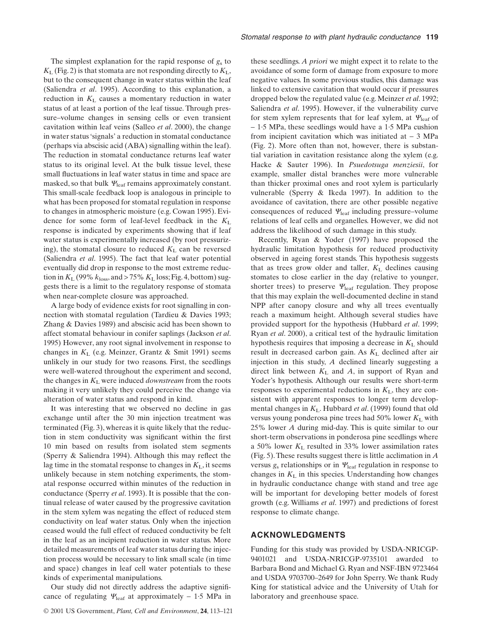The simplest explanation for the rapid response of  $g<sub>s</sub>$  to  $K_L$  (Fig. 2) is that stomata are not responding directly to  $K_L$ , but to the consequent change in water status within the leaf (Saliendra *et al*. 1995). According to this explanation, a reduction in  $K<sub>L</sub>$  causes a momentary reduction in water status of at least a portion of the leaf tissue. Through pressure–volume changes in sensing cells or even transient cavitation within leaf veins (Salleo *et al*. 2000), the change in water status 'signals' a reduction in stomatal conductance (perhaps via abscisic acid (ABA) signalling within the leaf). The reduction in stomatal conductance returns leaf water status to its original level. At the bulk tissue level, these small fluctuations in leaf water status in time and space are masked, so that bulk  $\mathcal{Y}_{\text{leaf}}$  remains approximately constant. This small-scale feedback loop is analogous in principle to what has been proposed for stomatal regulation in response to changes in atmospheric moisture (e.g. Cowan 1995). Evidence for some form of leaf-level feedback in the *K*<sup>L</sup> response is indicated by experiments showing that if leaf water status is experimentally increased (by root pressurizing), the stomatal closure to reduced  $K<sub>L</sub>$  can be reversed (Saliendra *et al*. 1995). The fact that leaf water potential eventually did drop in response to the most extreme reduction in  $K_L$  (99%  $k_{loss}$ , and > 75%  $K_L$  loss; Fig. 4, bottom) suggests there is a limit to the regulatory response of stomata when near-complete closure was approached.

A large body of evidence exists for root signalling in connection with stomatal regulation (Tardieu & Davies 1993; Zhang & Davies 1989) and abscisic acid has been shown to affect stomatal behaviour in conifer saplings (Jackson *et al*. 1995) However, any root signal involvement in response to changes in *K*<sup>L</sup> (e.g. Meinzer, Grantz & Smit 1991) seems unlikely in our study for two reasons. First, the seedlings were well-watered throughout the experiment and second, the changes in  $K<sub>L</sub>$  were induced *downstream* from the roots making it very unlikely they could perceive the change via alteration of water status and respond in kind.

It was interesting that we observed no decline in gas exchange until after the 30 min injection treatment was terminated (Fig. 3), whereas it is quite likely that the reduction in stem conductivity was significant within the first 10 min based on results from isolated stem segments (Sperry & Saliendra 1994). Although this may reflect the lag time in the stomatal response to changes in  $K<sub>L</sub>$ , it seems unlikely because in stem notching experiments, the stomatal response occurred within minutes of the reduction in conductance (Sperry *et al*. 1993). It is possible that the continual release of water caused by the progressive cavitation in the stem xylem was negating the effect of reduced stem conductivity on leaf water status. Only when the injection ceased would the full effect of reduced conductivity be felt in the leaf as an incipient reduction in water status. More detailed measurements of leaf water status during the injection process would be necessary to link small scale (in time and space) changes in leaf cell water potentials to these kinds of experimental manipulations.

Our study did not directly address the adaptive significance of regulating  $Y_{\text{leaf}}$  at approximately – 1.5 MPa in

these seedlings. *A priori* we might expect it to relate to the avoidance of some form of damage from exposure to more negative values. In some previous studies, this damage was linked to extensive cavitation that would occur if pressures dropped below the regulated value (e.g. Meinzer *et al*. 1992; Saliendra *et al*. 1995). However, if the vulnerability curve for stem xylem represents that for leaf xylem, at  $\Psi_{\rm leaf}$  of  $-1.5$  MPa, these seedlings would have a 1.5 MPa cushion from incipient cavitation which was initiated at  $-3$  MPa (Fig. 2). More often than not, however, there is substantial variation in cavitation resistance along the xylem (e.g. Hacke & Sauter 1996). In *Psuedotsuga menziesii*, for example, smaller distal branches were more vulnerable than thicker proximal ones and root xylem is particularly vulnerable (Sperry & Ikeda 1997). In addition to the avoidance of cavitation, there are other possible negative consequences of reduced  $Y_{\text{leaf}}$  including pressure–volume relations of leaf cells and organelles. However, we did not address the likelihood of such damage in this study.

Recently, Ryan & Yoder (1997) have proposed the hydraulic limitation hypothesis for reduced productivity observed in ageing forest stands. This hypothesis suggests that as trees grow older and taller,  $K<sub>L</sub>$  declines causing stomates to close earlier in the day (relative to younger, shorter trees) to preserve  $\Psi_{\text{leaf}}$  regulation. They propose that this may explain the well-documented decline in stand NPP after canopy closure and why all trees eventually reach a maximum height. Although several studies have provided support for the hypothesis (Hubbard *et al*. 1999; Ryan *et al*. 2000), a critical test of the hydraulic limitation hypothesis requires that imposing a decrease in *K*<sup>L</sup> should result in decreased carbon gain. As  $K<sub>L</sub>$  declined after air injection in this study, *A* declined linearly suggesting a direct link between  $K<sub>L</sub>$  and  $A$ , in support of Ryan and Yoder's hypothesis. Although our results were short-term responses to experimental reductions in  $K<sub>L</sub>$ , they are consistent with apparent responses to longer term developmental changes in  $K_L$ . Hubbard *et al.* (1999) found that old versus young ponderosa pine trees had 50% lower  $K<sub>L</sub>$  with 25% lower *A* during mid-day. This is quite similar to our short-term observations in ponderosa pine seedlings where a 50% lower *K*<sup>L</sup> resulted in 33% lower assimilation rates (Fig. 5). These results suggest there is little acclimation in *A* versus  $g_s$  relationships or in  $\Psi_{\rm leaf}$  regulation in response to changes in  $K<sub>L</sub>$  in this species. Understanding how changes in hydraulic conductance change with stand and tree age will be important for developing better models of forest growth (e.g. Williams *et al*. 1997) and predictions of forest response to climate change.

# **ACKNOWLEDGMENTS**

Funding for this study was provided by USDA-NRICGP-9401021 and USDA-NRICGP-9735101 awarded to Barbara Bond and Michael G. Ryan and NSF-IBN 9723464 and USDA 9703700–2649 for John Sperry. We thank Rudy King for statistical advice and the University of Utah for laboratory and greenhouse space.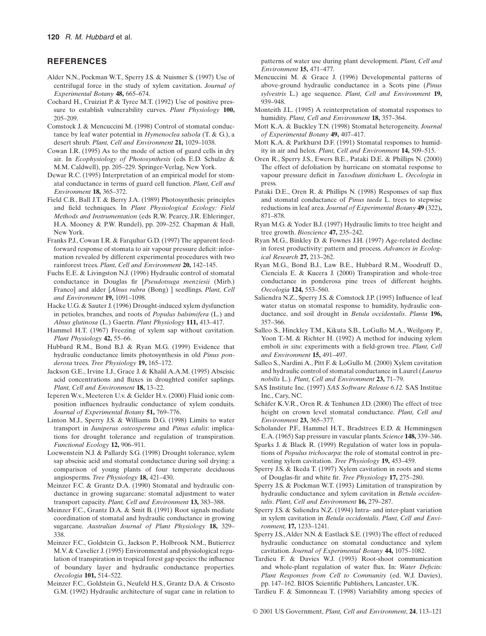# **REFERENCES**

- Alder N.N., Pockman W.T., Sperry J.S. & Nuismer S. (1997) Use of centrifugal force in the study of xylem cavitation. *Journal of Experimental Botany* **48,** 665–674.
- Cochard H., Cruiziat P. & Tyree M.T. (1992) Use of positive pressure to establish vulnerability curves. *Plant Physiology* **100,** 205–209.
- Comstock J. & Mencuccini M. (1998) Control of stomatal conductance by leaf water potential in *Hymenoclea salsola* (T. & G.), a desert shrub. *Plant, Cell and Environment* **21,** 1029–1038.
- Cowan I.R. (1995) As to the mode of action of guard cells in dry air. In *Ecophysiology of Photosynthesis* (eds E.D. Schulze & M.M. Caldwell), pp. 205–229. Springer-Verlag, New York.
- Dewar R.C. (1995) Interpretation of an empirical model for stomatal conductance in terms of guard cell function. *Plant, Cell and Environment* **18,** 365–372.
- Field C.B., Ball J.T. & Berry J.A. (1989) Photosynthesis: principles and field techniques. In *Plant Physiological Ecology: Field Methods and Instrumentation* (eds R.W. Pearcy, J.R. Ehleringer, H.A. Mooney & P.W. Rundel), pp. 209–252. Chapman & Hall, New York.
- Franks P.J., Cowan I.R. & Farquhar G.D. (1997) The apparent feedforward response of stomata to air vapour pressure deficit: information revealed by different experimental procedures with two rainforest trees. *Plant, Cell and Environment* **20,** 142–145.
- Fuchs E.E. & Livingston N.J. (1996) Hydraulic control of stomatal conductance in Douglas fir [*Pseudotsuga menziesii* (Mirb.) Franco] and alder [*Alnus rubra* (Bong) ] seedlings. *Plant, Cell and Environment* **19,** 1091–1098.
- Hacke U.G. & Sauter J. (1996) Drought-induced xylem dysfunction in petioles, branches, and roots of *Populus balsimifera* (L.) and *Alnus glutinosa* (L.) Gaertn. *Plant Physiology* **111,** 413–417.
- Hammel H.T. (1967) Freezing of xylem sap without cavitation. *Plant Physiology* **42,** 55–66.
- Hubbard R.M., Bond B.J. & Ryan M.G. (1999) Evidence that hydraulic conductance limits photosynthesis in old *Pinus ponderosa* trees. *Tree Physiology* **19,** 165–172.
- Jackson G.E., Irvine I.J., Grace J. & Khalil A.A.M. (1995) Abscisic acid concentrations and fluxes in droughted conifer saplings. *Plant, Cell and Environment* **18,** 13–22.
- Ieperen W.v., Meeteren U.v. & Gelder H.v. (2000) Fluid ionic composition influences hydraulic conductance of xylem conduits. *Journal of Experimental Botany* **51,** 769–776.
- Linton M.J., Sperry J.S. & Williams D.G. (1998) Limits to water transport in *Juniperus osteosperma* and *Pinus edulis*: implications for drought tolerance and regulation of transpiration. *Functional Ecology* **12,** 906–911.
- Loewenstein N.J. & Pallardy S.G. (1998) Drought tolerance, xylem sap abscisic acid and stomatal conductance during soil drying: a comparison of young plants of four temperate deciduous angiosperms. *Tree Physiology* **18,** 421–430.
- Meinzer F.C. & Grantz D.A. (1990) Stomatal and hydraulic conductance in growing sugarcane: stomatal adjustment to water transport capacity. *Plant, Cell and Environment* **13,** 383–388.
- Meinzer F.C., Grantz D.A. & Smit B. (1991) Root signals mediate coordination of stomatal and hydraulic conductance in growing sugarcane. *Australian Journal of Plant Physiology* **18,** 329– 338.
- Meinzer F.C., Goldstein G., Jackson P., Holbrook N.M., Butierrez M.V. & Cavelier J. (1995) Environmental and physiological regulation of transpiration in tropical forest gap species: the influence of boundary layer and hydraulic conductance properties. *Oecologia* **101,** 514–522.
- Meinzer F.C., Goldstein G., Neufeld H.S., Grantz D.A. & Crisosto G.M. (1992) Hydraulic architecture of sugar cane in relation to

patterns of water use during plant development. *Plant, Cell and Environment* **15,** 471–477.

- Mencuccini M. & Grace J. (1996) Developmental patterns of above-ground hydraulic conductance in a Scots pine (*Pinus sylvestris* L.) age sequence. *Plant, Cell and Environment* **19,** 939–948.
- Monteith J.L. (1995) A reinterpretation of stomatal responses to humidity. *Plant, Cell and Environment* **18,** 357–364.
- Mott K.A. & Buckley T.N. (1998) Stomatal heterogeneity. *Journal of Experimental Botany* **49,** 407–417.
- Mott K.A. & Parkhurst D.F. (1991) Stomatal responses to humidity in air and helox. *Plant, Cell and Environment* **14,** 509–515.
- Oren R., Sperry J.S., Ewers B.E., Pataki D.E. & Phillips N. (2000) The effect of defoliation by hurricane on stomatal response to vapour pressure deficit in *Taxodium distichum* L. *Oecologia* in press.
- Pataki D.E., Oren R. & Phillips N. (1998) Responses of sap flux and stomatal conductance of *Pinus taeda* L. trees to stepwise reductions in leaf area. *Journal of Experimental Botany* **49** (322)**,** 871–878.
- Ryan M.G. & Yoder B.J. (1997) Hydraulic limits to tree height and tree growth. *Bioscience* **47,** 235–242.
- Ryan M.G., Binkley D. & Fownes J.H. (1997) Age-related decline in forest productivity: pattern and process. *Advances in Ecological Research* **27,** 213–262.
- Ryan M.G., Bond B.J., Law B.E., Hubbard R.M., Woodruff D., Cienciala E. & Kucera J. (2000) Transpiration and whole-tree conductance in ponderosa pine trees of different heights. *Oecologia* **124,** 553–560.
- Saliendra N.Z., Sperry J.S. & Comstock J.P. (1995) Influence of leaf water status on stomatal response to humidity, hydraulic conductance, and soil drought in *Betula occidentalis*. *Planta* **196,** 357–366.
- Salleo S., Hinckley T.M., Kikuta S.B., LoGullo M.A., Weilgony P., Yoon T.-M. & Richter H. (1992) A method for inducing xylem emboli *in situ*: experiments with a field-grown tree. *Plant, Cell and Environment* **15,** 491–497.
- Salleo S., Nardini A., Pitt F. & LoGullo M. (2000) Xylem cavitation and hydraulic control of stomatal conductance in Laurel (*Laurus nobilis* L.). *Plant, Cell and Environment* **23,** 71–79.
- SAS Institute Inc. (1997) *SAS Software Release 6.12.* SAS Institue Inc., Cary, NC.
- Schäfer K.V.R., Oren R. & Tenhunen J.D. (2000) The effect of tree height on crown level stomatal conductance. *Plant, Cell and Environment* **23,** 365–377.
- Scholander P.F., Hammel H.T., Bradstrees E.D. & Hemmingsen E.A. (1965) Sap pressure in vascular plants. *Science* **148,** 339–346.
- Sparks J. & Black R. (1999) Regulation of water loss in populations of *Populus trichocarpa*: the role of stomatal control in preventing xylem cavitation. *Tree Physiology* **19,** 453–459.
- Sperry J.S. & Ikeda T. (1997) Xylem cavitation in roots and stems of Douglas-fir and white fir. *Tree Physiology* **17,** 275–280.
- Sperry J.S. & Pockman W.T. (1993) Limitation of transpiration by hydraulic conductance and xylem cavitation in *Betula occidentalis*. *Plant, Cell and Environment* **16,** 279–287.
- Sperry J.S. & Saliendra N.Z. (1994) Intra- and inter-plant variation in xylem cavitation in *Betula occidentalis*. *Plant, Cell and Environment,* **17,** 1233–1241.
- Sperry J.S.,Alder N.N. & Eastlack S.E. (1993) The effect of reduced hydraulic conductance on stomatal conductance and xylem cavitation. *Journal of Experimental Botany* **44,** 1075–1082.
- Tardieu F. & Davies W.J. (1993) Root-shoot communication and whole-plant regulation of water flux. In: *Water Deficits: Plant Responses from Cell to Community* (ed. W.J. Davies), pp. 147–162. BIOS Scientific Publishers, Lancaster, UK.
- Tardieu F. & Simonneau T. (1998) Variability among species of